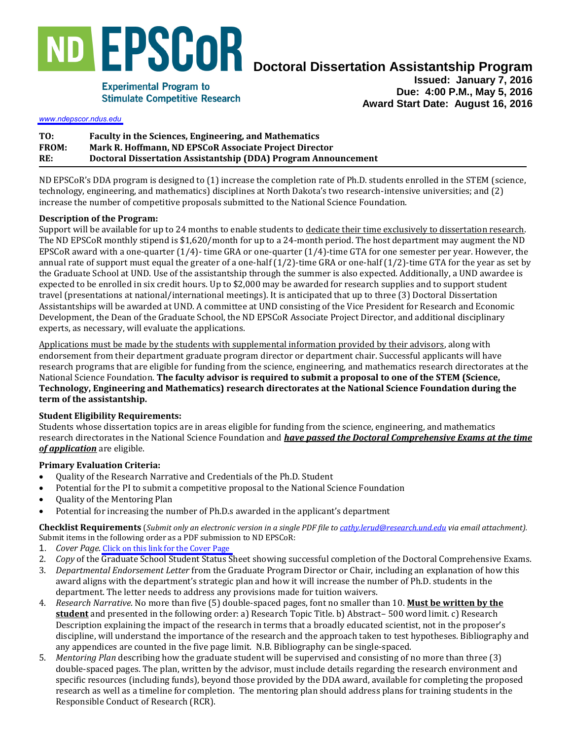

# **Doctoral Dissertation Assistantship Program**

**Experimental Program to Stimulate Competitive Research** 

**Issued: January 7, 2016 Due: 4:00 P.M., May 5, 2016 Award Start Date: August 16, 2016** 

*<www.ndepscor.ndus.edu>*

| TO:          | Faculty in the Sciences, Engineering, and Mathematics          |
|--------------|----------------------------------------------------------------|
| <b>FROM:</b> | Mark R. Hoffmann, ND EPSCoR Associate Project Director         |
| RE:          | Doctoral Dissertation Assistantship (DDA) Program Announcement |

ND EPSCoR's DDA program is designed to (1) increase the completion rate of Ph.D. students enrolled in the STEM (science, technology, engineering, and mathematics) disciplines at North Dakota's two research-intensive universities; and (2) increase the number of competitive proposals submitted to the National Science Foundation.

## **Description of the Program:**

Support will be available for up to 24 months to enable students to dedicate their time exclusively to dissertation research. The ND EPSCoR monthly stipend is \$1,620/month for up to a 24-month period. The host department may augment the ND EPSCoR award with a one-quarter (1/4)- time GRA or one-quarter (1/4)-time GTA for one semester per year. However, the annual rate of support must equal the greater of a one-half  $(1/2)$ -time GRA or one-half  $(1/2)$ -time GTA for the year as set by the Graduate School at UND. Use of the assistantship through the summer is also expected. Additionally, a UND awardee is expected to be enrolled in six credit hours. Up to \$2,000 may be awarded for research supplies and to support student travel (presentations at national/international meetings). It is anticipated that up to three (3) Doctoral Dissertation Assistantships will be awarded at UND. A committee at UND consisting of the Vice President for Research and Economic Development, the Dean of the Graduate School, the ND EPSCoR Associate Project Director, and additional disciplinary experts, as necessary, will evaluate the applications.

Applications must be made by the students with supplemental information provided by their advisors, along with endorsement from their department graduate program director or department chair. Successful applicants will have research programs that are eligible for funding from the science, engineering, and mathematics research directorates at the National Science Foundation. **The faculty advisor is required to submit a proposal to one of the STEM (Science, Technology, Engineering and Mathematics) research directorates at the National Science Foundation during the term of the assistantship.**

# **Student Eligibility Requirements:**

Students whose dissertation topics are in areas eligible for funding from the science, engineering, and mathematics research directorates in the National Science Foundation and *have passed the Doctoral Comprehensive Exams at the time of application* are eligible.

### **Primary Evaluation Criteria:**

- Quality of the Research Narrative and Credentials of the Ph.D. Student
- Potential for the PI to submit a competitive proposal to the National Science Foundation
- Ouality of the Mentoring Plan
- Potential for increasing the number of Ph.D.s awarded in the applicant's department

**Checklist Requirements** (*Submit only an electronic version in a single PDF file to [cathy.lerud@research.und.edu v](mailto:cathy.lerud@research.und.edu)ia email attachment).*  Submit items in the following order as a PDF submission to ND EPSCoR:

- 1. *Cover Page*. [Click on this link for the Cover Page](https://www.ndepscor.ndus.edu/fileadmin/ndus/ndepscor/DDAs/DDAUNDPropCovSht2016.pdf)
- 2. *Copy* of the Graduate School Student Status Sheet showing successful completion of the Doctoral Comprehensive Exams.
- 3. *Departmental Endorsement Letter* from the Graduate Program Director or Chair, including an explanation of how this award aligns with the department's strategic plan and how it will increase the number of Ph.D. students in the department. The letter needs to address any provisions made for tuition waivers.
- 4. *Research Narrative*. No more than five (5) double-spaced pages, font no smaller than 10. **Must be written by the student** and presented in the following order: a) Research Topic Title. b) Abstract– 500 word limit. c) Research Description explaining the impact of the research in terms that a broadly educated scientist, not in the proposer's discipline, will understand the importance of the research and the approach taken to test hypotheses. Bibliography and any appendices are counted in the five page limit. N.B. Bibliography can be single-spaced.
- 5. *Mentoring Plan* describing how the graduate student will be supervised and consisting of no more than three (3) double-spaced pages. The plan, written by the advisor, must include details regarding the research environment and specific resources (including funds), beyond those provided by the DDA award, available for completing the proposed research as well as a timeline for completion. The mentoring plan should address plans for training students in the Responsible Conduct of Research (RCR).